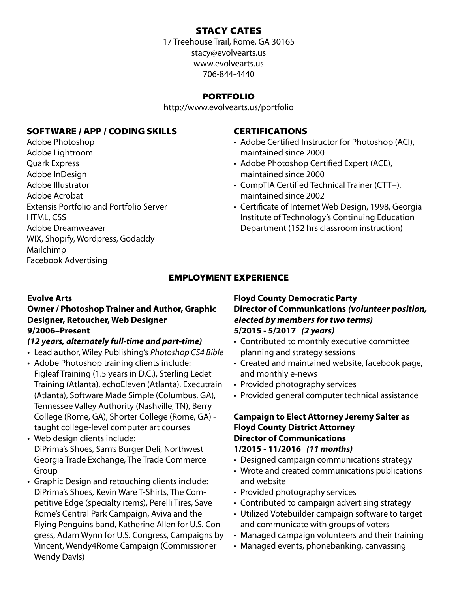### STACY CATES

17 Treehouse Trail, Rome, GA 30165 stacy@evolvearts.us www.evolvearts.us 706-844-4440

### PORTFOLIO

http://www.evolvearts.us/portfolio

### SOFTWARE / APP / CODING SKILLS

Adobe Photoshop Adobe Lightroom Quark Express Adobe InDesign Adobe Illustrator Adobe Acrobat Extensis Portfolio and Portfolio Server HTML, CSS Adobe Dreamweaver WIX, Shopify, Wordpress, Godaddy Mailchimp Facebook Advertising

### CERTIFICATIONS

- Adobe Certified Instructor for Photoshop (ACI), maintained since 2000
- Adobe Photoshop Certified Expert (ACE), maintained since 2000
- CompTIA Certified Technical Trainer (CTT+), maintained since 2002
- Certificate of Internet Web Design, 1998, Georgia Institute of Technology's Continuing Education Department (152 hrs classroom instruction)

### EMPLOYMENT EXPERIENCE

### **Evolve Arts**

### **Owner / Photoshop Trainer and Author, Graphic Designer, Retoucher, Web Designer 9/2006–Present**

### *(12 years, alternately full-time and part-time)*

- Lead author, Wiley Publishing's *Photoshop CS4 Bible*
- Adobe Photoshop training clients include: Figleaf Training (1.5 years in D.C.), Sterling Ledet Training (Atlanta), echoEleven (Atlanta), Executrain (Atlanta), Software Made Simple (Columbus, GA), Tennessee Valley Authority (Nashville, TN), Berry College (Rome, GA); Shorter College (Rome, GA) taught college-level computer art courses
- Web design clients include: DiPrima's Shoes, Sam's Burger Deli, Northwest Georgia Trade Exchange, The Trade Commerce Group
- Graphic Design and retouching clients include: DiPrima's Shoes, Kevin Ware T-Shirts, The Competitive Edge (specialty items), Perelli Tires, Save Rome's Central Park Campaign, Aviva and the Flying Penguins band, Katherine Allen for U.S. Congress, Adam Wynn for U.S. Congress, Campaigns by Vincent, Wendy4Rome Campaign (Commissioner Wendy Davis)

### **Floyd County Democratic Party Director of Communications (volunteer position, elected by members for two terms) 5/2015 - 5/2017** *(2 years)*

- Contributed to monthly executive committee planning and strategy sessions
- Created and maintained website, facebook page, and monthly e-news
- Provided photography services
- Provided general computer technical assistance

### **Campaign to Elect Attorney Jeremy Salter as Floyd County District Attorney Director of Communications 1/2015 - 11/2016** *(11 months)*

- Designed campaign communications strategy
- Wrote and created communications publications and website
- Provided photography services
- Contributed to campaign advertising strategy
- Utilized Votebuilder campaign software to target and communicate with groups of voters
- Managed campaign volunteers and their training
- Managed events, phonebanking, canvassing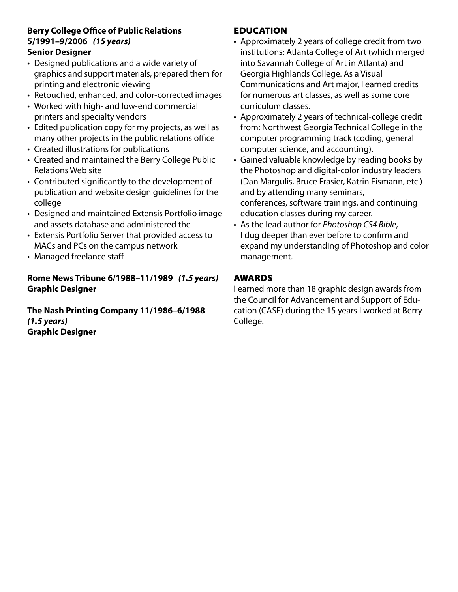### **Berry College Office of Public Relations 5/1991–9/2006** *(15 years)* **Senior Designer**

- Designed publications and a wide variety of graphics and support materials, prepared them for printing and electronic viewing
- Retouched, enhanced, and color-corrected images
- Worked with high- and low-end commercial printers and specialty vendors
- Edited publication copy for my projects, as well as many other projects in the public relations office
- Created illustrations for publications
- Created and maintained the Berry College Public Relations Web site
- Contributed significantly to the development of publication and website design guidelines for the college
- Designed and maintained Extensis Portfolio image and assets database and administered the
- Extensis Portfolio Server that provided access to MACs and PCs on the campus network
- Managed freelance staff

### **Rome News Tribune 6/1988–11/1989** *(1.5 years)* **Graphic Designer**

**The Nash Printing Company 11/1986–6/1988**  *(1.5 years)* **Graphic Designer**

### EDUCATION

- Approximately 2 years of college credit from two institutions: Atlanta College of Art (which merged into Savannah College of Art in Atlanta) and Georgia Highlands College. As a Visual Communications and Art major, I earned credits for numerous art classes, as well as some core curriculum classes.
- Approximately 2 years of technical-college credit from: Northwest Georgia Technical College in the computer programming track (coding, general computer science, and accounting).
- Gained valuable knowledge by reading books by the Photoshop and digital-color industry leaders (Dan Margulis, Bruce Frasier, Katrin Eismann, etc.) and by attending many seminars, conferences, software trainings, and continuing education classes during my career.
- As the lead author for *Photoshop CS4 Bible*, I dug deeper than ever before to confirm and expand my understanding of Photoshop and color management.

### AWARDS

I earned more than 18 graphic design awards from the Council for Advancement and Support of Education (CASE) during the 15 years I worked at Berry College.